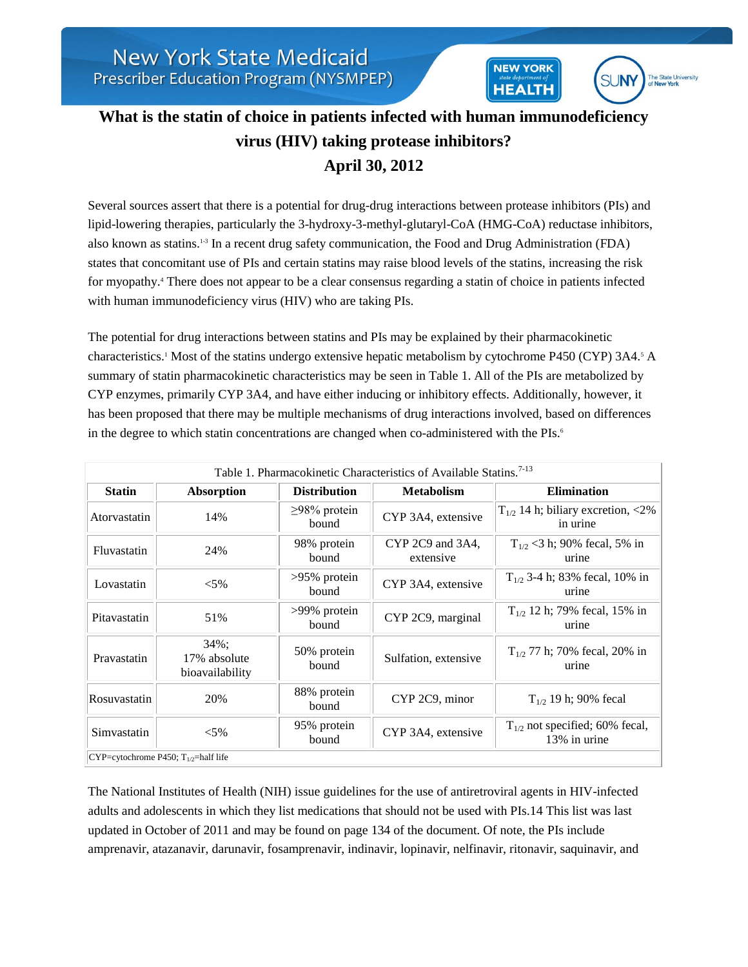## **What is the statin of choice in patients infected with human immunodeficiency virus (HIV) taking protease inhibitors? April 30, 2012**

**NEW YORK** 

**HEALTH** 

**SUNY** 

The State University

Several sources assert that there is a potential for drug-drug interactions between protease inhibitors (PIs) and lipid-lowering therapies, particularly the 3-hydroxy-3-methyl-glutaryl-CoA (HMG-CoA) reductase inhibitors, also known as statins.1-3 In a recent drug safety communication, the Food and Drug Administration (FDA) states that concomitant use of PIs and certain statins may raise blood levels of the statins, increasing the risk for myopathy.<sup>4</sup> There does not appear to be a clear consensus regarding a statin of choice in patients infected with human immunodeficiency virus (HIV) who are taking PIs.

The potential for drug interactions between statins and PIs may be explained by their pharmacokinetic characteristics.<sup>1</sup> Most of the statins undergo extensive hepatic metabolism by cytochrome P450 (CYP) 3A4.<sup>5</sup> A summary of statin pharmacokinetic characteristics may be seen in Table 1. All of the PIs are metabolized by CYP enzymes, primarily CYP 3A4, and have either inducing or inhibitory effects. Additionally, however, it has been proposed that there may be multiple mechanisms of drug interactions involved, based on differences in the degree to which statin concentrations are changed when co-administered with the PIs.<sup>6</sup>

| Table 1. Pharmacokinetic Characteristics of Available Statins. <sup>7-13</sup> |                                             |                             |                               |                                                     |  |  |
|--------------------------------------------------------------------------------|---------------------------------------------|-----------------------------|-------------------------------|-----------------------------------------------------|--|--|
| <b>Statin</b>                                                                  | Absorption                                  | <b>Distribution</b>         | <b>Metabolism</b>             | <b>Elimination</b>                                  |  |  |
| Atorvastatin                                                                   | 14%                                         | $\geq$ 98% protein<br>bound | CYP 3A4, extensive            | $T_{1/2}$ 14 h; biliary excretion, <2%<br>in urine  |  |  |
| Fluvastatin                                                                    | 24%                                         | 98% protein<br>bound        | CYP 2C9 and 3A4,<br>extensive | $T_{1/2}$ < 3 h; 90% fecal, 5% in<br>urine          |  |  |
| Lovastatin                                                                     | $< 5\%$                                     | >95% protein<br>bound       | CYP 3A4, extensive            | $T_{1/2}$ 3-4 h; 83% fecal, 10% in<br>urine         |  |  |
| Pitavastatin                                                                   | 51%                                         | >99% protein<br>bound       | CYP 2C9, marginal             | $T_{1/2}$ 12 h; 79% fecal, 15% in<br>urine          |  |  |
| Pravastatin                                                                    | $34\%$ ;<br>17% absolute<br>bioavailability | 50% protein<br>bound        | Sulfation, extensive          | $T_{1/2}$ 77 h; 70% fecal, 20% in<br>urine          |  |  |
| Rosuvastatin                                                                   | 20%                                         | 88% protein<br>bound        | CYP 2C9, minor                | $T_{1/2}$ 19 h; 90% fecal                           |  |  |
| Simvastatin                                                                    | $< 5\%$                                     | 95% protein<br>bound        | CYP 3A4, extensive            | $T_{1/2}$ not specified; 60% fecal,<br>13% in urine |  |  |
| $CYP$ =cytochrome P450; T <sub>1/2</sub> =half life                            |                                             |                             |                               |                                                     |  |  |

The National Institutes of Health (NIH) issue guidelines for the use of antiretroviral agents in HIV-infected adults and adolescents in which they list medications that should not be used with PIs.14 This list was last updated in October of 2011 and may be found on page 134 of the document. Of note, the PIs include amprenavir, atazanavir, darunavir, fosamprenavir, indinavir, lopinavir, nelfinavir, ritonavir, saquinavir, and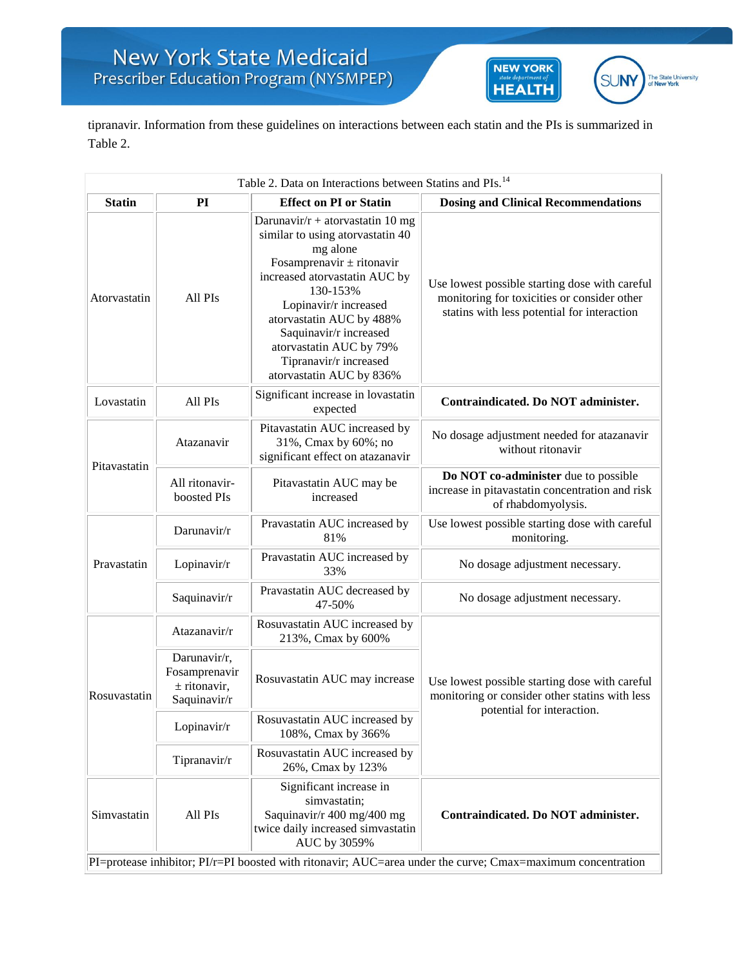



tipranavir. Information from these guidelines on interactions between each statin and the PIs is summarized in Table 2.

| Table 2. Data on Interactions between Statins and PIs. <sup>14</sup>                                        |                                                                 |                                                                                                                                                                                                                                                                                                                                   |                                                                                                                                              |  |  |  |
|-------------------------------------------------------------------------------------------------------------|-----------------------------------------------------------------|-----------------------------------------------------------------------------------------------------------------------------------------------------------------------------------------------------------------------------------------------------------------------------------------------------------------------------------|----------------------------------------------------------------------------------------------------------------------------------------------|--|--|--|
| <b>Statin</b>                                                                                               | PI                                                              | <b>Effect on PI or Statin</b>                                                                                                                                                                                                                                                                                                     | <b>Dosing and Clinical Recommendations</b>                                                                                                   |  |  |  |
| Atorvastatin                                                                                                | All PIs                                                         | Darunavir/ $r$ + atorvastatin 10 mg<br>similar to using atorvastatin 40<br>mg alone<br>Fosamprenavir $\pm$ ritonavir<br>increased atorvastatin AUC by<br>130-153%<br>Lopinavir/r increased<br>atorvastatin AUC by 488%<br>Saquinavir/r increased<br>atorvastatin AUC by 79%<br>Tipranavir/r increased<br>atorvastatin AUC by 836% | Use lowest possible starting dose with careful<br>monitoring for toxicities or consider other<br>statins with less potential for interaction |  |  |  |
| Lovastatin                                                                                                  | All PIs                                                         | Significant increase in lovastatin<br>expected                                                                                                                                                                                                                                                                                    | Contraindicated. Do NOT administer.                                                                                                          |  |  |  |
| Pitavastatin                                                                                                | Atazanavir                                                      | Pitavastatin AUC increased by<br>31%, Cmax by 60%; no<br>significant effect on atazanavir                                                                                                                                                                                                                                         | No dosage adjustment needed for atazanavir<br>without ritonavir                                                                              |  |  |  |
|                                                                                                             | All ritonavir-<br>boosted PIs                                   | Pitavastatin AUC may be<br>increased                                                                                                                                                                                                                                                                                              | Do NOT co-administer due to possible<br>increase in pitavastatin concentration and risk<br>of rhabdomyolysis.                                |  |  |  |
| Pravastatin                                                                                                 | Darunavir/r                                                     | Pravastatin AUC increased by<br>81%                                                                                                                                                                                                                                                                                               | Use lowest possible starting dose with careful<br>monitoring.                                                                                |  |  |  |
|                                                                                                             | Lopinavir/r                                                     | Pravastatin AUC increased by<br>33%                                                                                                                                                                                                                                                                                               | No dosage adjustment necessary.                                                                                                              |  |  |  |
|                                                                                                             | Saquinavir/r                                                    | Pravastatin AUC decreased by<br>47-50%                                                                                                                                                                                                                                                                                            | No dosage adjustment necessary.                                                                                                              |  |  |  |
| Rosuvastatin                                                                                                | Atazanavir/r                                                    | Rosuvastatin AUC increased by<br>213%, Cmax by 600%                                                                                                                                                                                                                                                                               | Use lowest possible starting dose with careful<br>monitoring or consider other statins with less<br>potential for interaction.               |  |  |  |
|                                                                                                             | Darunavir/r,<br>Fosamprenavir<br>$±$ ritonavir,<br>Saquinavir/r | Rosuvastatin AUC may increase                                                                                                                                                                                                                                                                                                     |                                                                                                                                              |  |  |  |
|                                                                                                             | Lopinavir/r                                                     | Rosuvastatin AUC increased by<br>108%, Cmax by 366%                                                                                                                                                                                                                                                                               |                                                                                                                                              |  |  |  |
|                                                                                                             | Tipranavir/r                                                    | Rosuvastatin AUC increased by<br>26%, Cmax by 123%                                                                                                                                                                                                                                                                                |                                                                                                                                              |  |  |  |
| Simvastatin                                                                                                 | All PIs                                                         | Significant increase in<br>simvastatin;<br>Saquinavir/r 400 mg/400 mg<br>twice daily increased simvastatin<br>AUC by 3059%                                                                                                                                                                                                        | Contraindicated. Do NOT administer.                                                                                                          |  |  |  |
| PI=protease inhibitor; PI/r=PI boosted with ritonavir; AUC=area under the curve; Cmax=maximum concentration |                                                                 |                                                                                                                                                                                                                                                                                                                                   |                                                                                                                                              |  |  |  |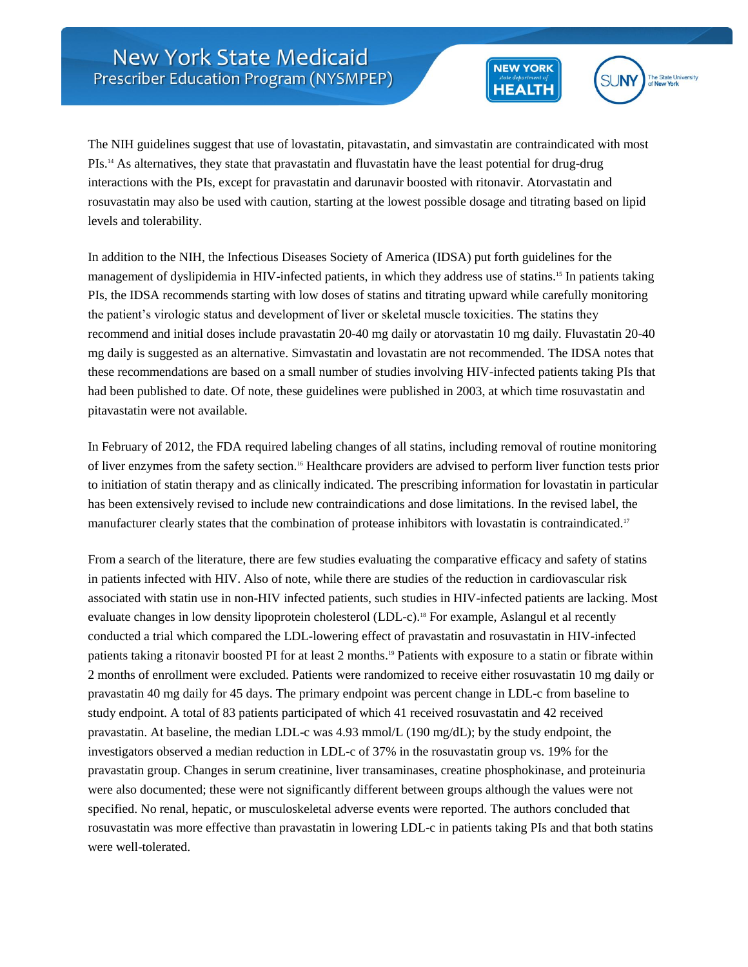



The NIH guidelines suggest that use of lovastatin, pitavastatin, and simvastatin are contraindicated with most PIs.<sup>14</sup> As alternatives, they state that pravastatin and fluvastatin have the least potential for drug-drug interactions with the PIs, except for pravastatin and darunavir boosted with ritonavir. Atorvastatin and rosuvastatin may also be used with caution, starting at the lowest possible dosage and titrating based on lipid levels and tolerability.

In addition to the NIH, the Infectious Diseases Society of America (IDSA) put forth guidelines for the management of dyslipidemia in HIV-infected patients, in which they address use of statins.<sup>15</sup> In patients taking PIs, the IDSA recommends starting with low doses of statins and titrating upward while carefully monitoring the patient's virologic status and development of liver or skeletal muscle toxicities. The statins they recommend and initial doses include pravastatin 20-40 mg daily or atorvastatin 10 mg daily. Fluvastatin 20-40 mg daily is suggested as an alternative. Simvastatin and lovastatin are not recommended. The IDSA notes that these recommendations are based on a small number of studies involving HIV-infected patients taking PIs that had been published to date. Of note, these guidelines were published in 2003, at which time rosuvastatin and pitavastatin were not available.

In February of 2012, the FDA required labeling changes of all statins, including removal of routine monitoring of liver enzymes from the safety section.<sup>16</sup> Healthcare providers are advised to perform liver function tests prior to initiation of statin therapy and as clinically indicated. The prescribing information for lovastatin in particular has been extensively revised to include new contraindications and dose limitations. In the revised label, the manufacturer clearly states that the combination of protease inhibitors with lovastatin is contraindicated.<sup>17</sup>

From a search of the literature, there are few studies evaluating the comparative efficacy and safety of statins in patients infected with HIV. Also of note, while there are studies of the reduction in cardiovascular risk associated with statin use in non-HIV infected patients, such studies in HIV-infected patients are lacking. Most evaluate changes in low density lipoprotein cholesterol (LDL-c).<sup>18</sup> For example, Aslangul et al recently conducted a trial which compared the LDL-lowering effect of pravastatin and rosuvastatin in HIV-infected patients taking a ritonavir boosted PI for at least 2 months.<sup>19</sup> Patients with exposure to a statin or fibrate within 2 months of enrollment were excluded. Patients were randomized to receive either rosuvastatin 10 mg daily or pravastatin 40 mg daily for 45 days. The primary endpoint was percent change in LDL-c from baseline to study endpoint. A total of 83 patients participated of which 41 received rosuvastatin and 42 received pravastatin. At baseline, the median LDL-c was 4.93 mmol/L (190 mg/dL); by the study endpoint, the investigators observed a median reduction in LDL-c of 37% in the rosuvastatin group vs. 19% for the pravastatin group. Changes in serum creatinine, liver transaminases, creatine phosphokinase, and proteinuria were also documented; these were not significantly different between groups although the values were not specified. No renal, hepatic, or musculoskeletal adverse events were reported. The authors concluded that rosuvastatin was more effective than pravastatin in lowering LDL-c in patients taking PIs and that both statins were well-tolerated.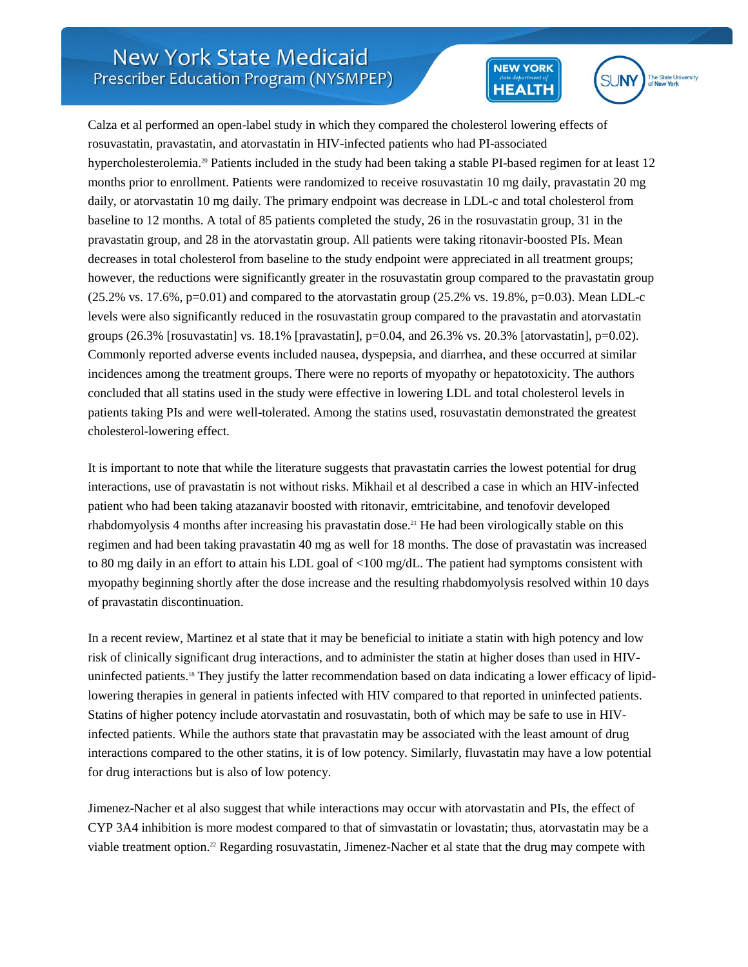



Calza et al performed an open-label study in which they compared the cholesterol lowering effects of rosuvastatin, pravastatin, and atorvastatin in HIV-infected patients who had PI-associated hypercholesterolemia.<sup>20</sup> Patients included in the study had been taking a stable PI-based regimen for at least 12 months prior to enrollment. Patients were randomized to receive rosuvastatin 10 mg daily, pravastatin 20 mg daily, or atorvastatin 10 mg daily. The primary endpoint was decrease in LDL-c and total cholesterol from baseline to 12 months. A total of 85 patients completed the study, 26 in the rosuvastatin group, 31 in the pravastatin group, and 28 in the atorvastatin group. All patients were taking ritonavir-boosted PIs. Mean decreases in total cholesterol from baseline to the study endpoint were appreciated in all treatment groups; however, the reductions were significantly greater in the rosuvastatin group compared to the pravastatin group  $(25.2\% \text{ vs. } 17.6\%, \text{p}=0.01)$  and compared to the atorvastatin group  $(25.2\% \text{ vs. } 19.8\%, \text{p}=0.03)$ . Mean LDL-c levels were also significantly reduced in the rosuvastatin group compared to the pravastatin and atorvastatin groups (26.3% [rosuvastatin] vs. 18.1% [pravastatin], p=0.04, and 26.3% vs. 20.3% [atorvastatin], p=0.02). Commonly reported adverse events included nausea, dyspepsia, and diarrhea, and these occurred at similar incidences among the treatment groups. There were no reports of myopathy or hepatotoxicity. The authors concluded that all statins used in the study were effective in lowering LDL and total cholesterol levels in patients taking PIs and were well-tolerated. Among the statins used, rosuvastatin demonstrated the greatest cholesterol-lowering effect.

It is important to note that while the literature suggests that pravastatin carries the lowest potential for drug interactions, use of pravastatin is not without risks. Mikhail et al described a case in which an HIV-infected patient who had been taking atazanavir boosted with ritonavir, emtricitabine, and tenofovir developed rhabdomyolysis 4 months after increasing his pravastatin dose.<sup>21</sup> He had been virologically stable on this regimen and had been taking pravastatin 40 mg as well for 18 months. The dose of pravastatin was increased to 80 mg daily in an effort to attain his LDL goal of <100 mg/dL. The patient had symptoms consistent with myopathy beginning shortly after the dose increase and the resulting rhabdomyolysis resolved within 10 days of pravastatin discontinuation.

In a recent review, Martinez et al state that it may be beneficial to initiate a statin with high potency and low risk of clinically significant drug interactions, and to administer the statin at higher doses than used in HIVuninfected patients.<sup>18</sup> They justify the latter recommendation based on data indicating a lower efficacy of lipidlowering therapies in general in patients infected with HIV compared to that reported in uninfected patients. Statins of higher potency include atorvastatin and rosuvastatin, both of which may be safe to use in HIVinfected patients. While the authors state that pravastatin may be associated with the least amount of drug interactions compared to the other statins, it is of low potency. Similarly, fluvastatin may have a low potential for drug interactions but is also of low potency.

Jimenez-Nacher et al also suggest that while interactions may occur with atorvastatin and PIs, the effect of CYP 3A4 inhibition is more modest compared to that of simvastatin or lovastatin; thus, atorvastatin may be a viable treatment option.<sup>22</sup> Regarding rosuvastatin, Jimenez-Nacher et al state that the drug may compete with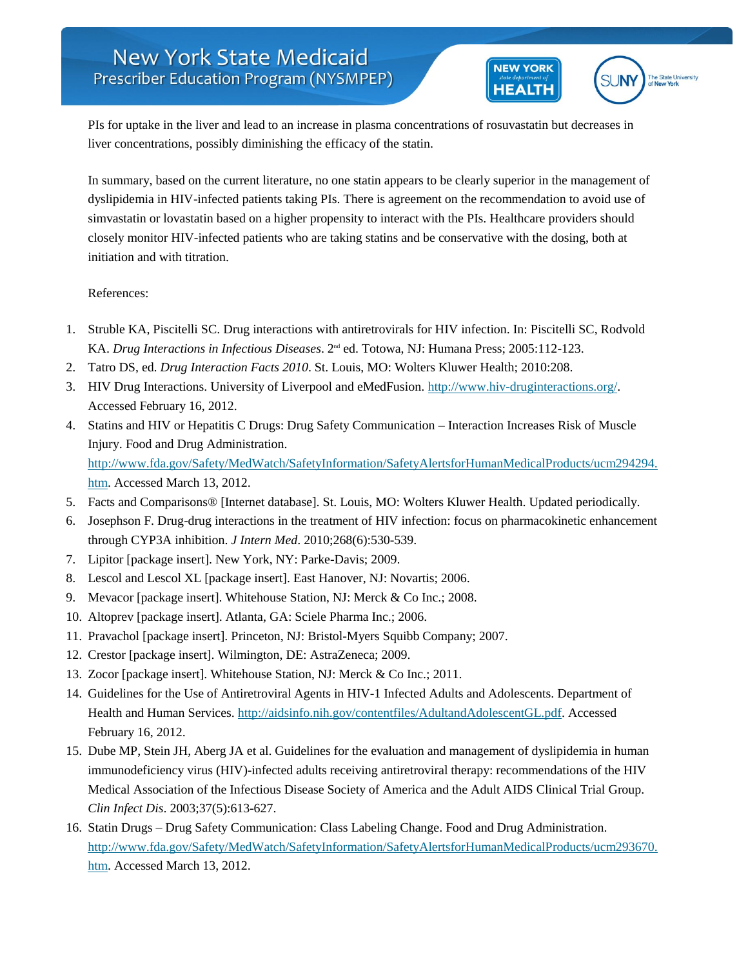



PIs for uptake in the liver and lead to an increase in plasma concentrations of rosuvastatin but decreases in liver concentrations, possibly diminishing the efficacy of the statin.

In summary, based on the current literature, no one statin appears to be clearly superior in the management of dyslipidemia in HIV-infected patients taking PIs. There is agreement on the recommendation to avoid use of simvastatin or lovastatin based on a higher propensity to interact with the PIs. Healthcare providers should closely monitor HIV-infected patients who are taking statins and be conservative with the dosing, both at initiation and with titration.

## References:

- 1. Struble KA, Piscitelli SC. Drug interactions with antiretrovirals for HIV infection. In: Piscitelli SC, Rodvold KA. *Drug Interactions in Infectious Diseases*. 2<sup>nd</sup> ed. Totowa, NJ: Humana Press; 2005:112-123.
- 2. Tatro DS, ed. *Drug Interaction Facts 2010*. St. Louis, MO: Wolters Kluwer Health; 2010:208.
- 3. HIV Drug Interactions. University of Liverpool and eMedFusion. [http://www.hiv-druginteractions.org/.](http://www.hiv-druginteractions.org/) Accessed February 16, 2012.
- 4. Statins and HIV or Hepatitis C Drugs: Drug Safety Communication Interaction Increases Risk of Muscle Injury. Food and Drug Administration. [http://www.fda.gov/Safety/MedWatch/SafetyInformation/SafetyAlertsforHumanMedicalProducts/ucm294294.](http://www.fda.gov/Safety/MedWatch/SafetyInformation/SafetyAlertsforHumanMedicalProducts/ucm294294.htm) [htm.](http://www.fda.gov/Safety/MedWatch/SafetyInformation/SafetyAlertsforHumanMedicalProducts/ucm294294.htm) Accessed March 13, 2012.
- 5. Facts and Comparisons® [Internet database]. St. Louis, MO: Wolters Kluwer Health. Updated periodically.
- 6. Josephson F. Drug-drug interactions in the treatment of HIV infection: focus on pharmacokinetic enhancement through CYP3A inhibition. *J Intern Med*. 2010;268(6):530-539.
- 7. Lipitor [package insert]. New York, NY: Parke-Davis; 2009.
- 8. Lescol and Lescol XL [package insert]. East Hanover, NJ: Novartis; 2006.
- 9. Mevacor [package insert]. Whitehouse Station, NJ: Merck & Co Inc.; 2008.
- 10. Altoprev [package insert]. Atlanta, GA: Sciele Pharma Inc.; 2006.
- 11. Pravachol [package insert]. Princeton, NJ: Bristol-Myers Squibb Company; 2007.
- 12. Crestor [package insert]. Wilmington, DE: AstraZeneca; 2009.
- 13. Zocor [package insert]. Whitehouse Station, NJ: Merck & Co Inc.; 2011.
- 14. Guidelines for the Use of Antiretroviral Agents in HIV-1 Infected Adults and Adolescents. Department of Health and Human Services[. http://aidsinfo.nih.gov/contentfiles/AdultandAdolescentGL.pdf.](http://aidsinfo.nih.gov/contentfiles/AdultandAdolescentGL.pdf) Accessed February 16, 2012.
- 15. Dube MP, Stein JH, Aberg JA et al. Guidelines for the evaluation and management of dyslipidemia in human immunodeficiency virus (HIV)-infected adults receiving antiretroviral therapy: recommendations of the HIV Medical Association of the Infectious Disease Society of America and the Adult AIDS Clinical Trial Group. *Clin Infect Dis*. 2003;37(5):613-627.
- 16. Statin Drugs Drug Safety Communication: Class Labeling Change. Food and Drug Administration. [http://www.fda.gov/Safety/MedWatch/SafetyInformation/SafetyAlertsforHumanMedicalProducts/ucm293670.](http://www.fda.gov/Safety/MedWatch/SafetyInformation/SafetyAlertsforHumanMedicalProducts/ucm293670.htm) [htm.](http://www.fda.gov/Safety/MedWatch/SafetyInformation/SafetyAlertsforHumanMedicalProducts/ucm293670.htm) Accessed March 13, 2012.